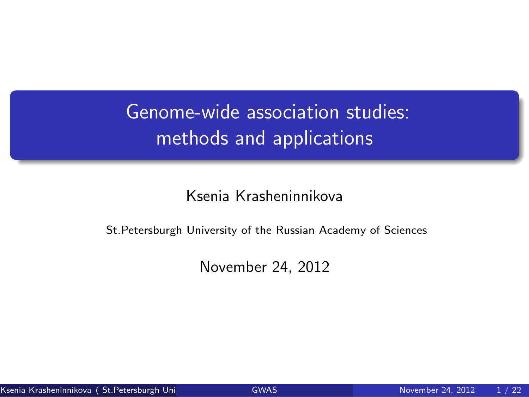Genome-wide association studies: methods and applications

Ksenia Krasheninnikova

St.Petersburgh University of the Russian Academy of Sciences

<span id="page-0-0"></span>November 24, 2012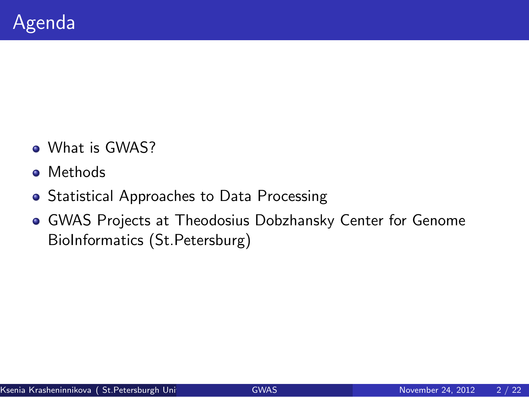- What is GWAS?
- **o** Methods
- **Statistical Approaches to Data Processing**
- GWAS Projects at Theodosius Dobzhansky Center for Genome BioInformatics (St.Petersburg)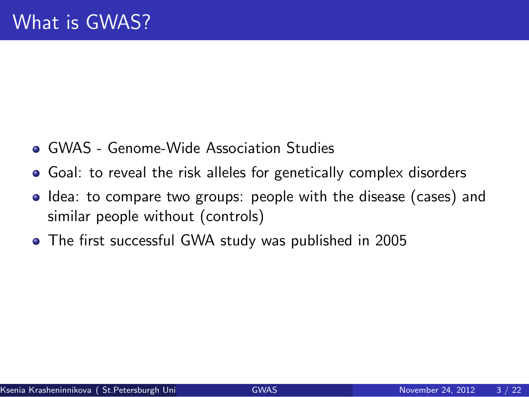- GWAS Genome-Wide Association Studies
- Goal: to reveal the risk alleles for genetically complex disorders
- Idea: to compare two groups: people with the disease (cases) and similar people without (controls)
- The first successful GWA study was published in 2005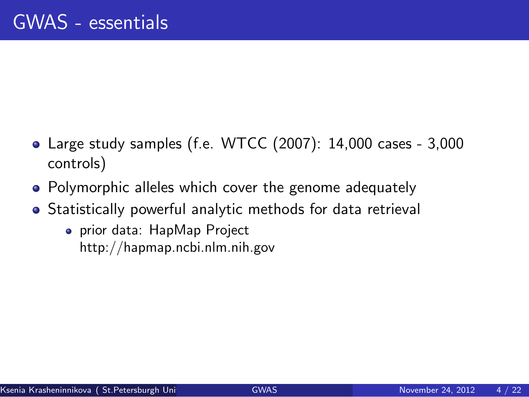- Large study samples (f.e. WTCC (2007): 14,000 cases 3,000 controls)
- Polymorphic alleles which cover the genome adequately
- Statistically powerful analytic methods for data retrieval
	- prior data: HapMap Project http://hapmap.ncbi.nlm.nih.gov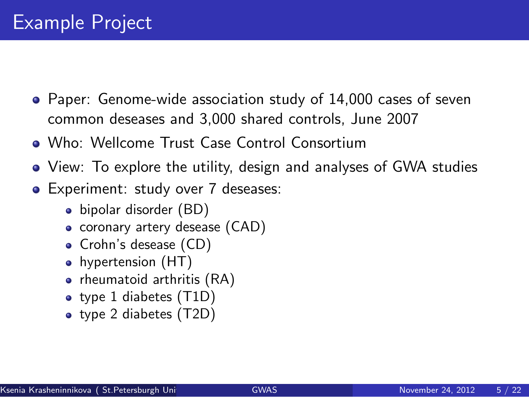- Paper: Genome-wide association study of 14,000 cases of seven common deseases and 3,000 shared controls, June 2007
- Who: Wellcome Trust Case Control Consortium
- View: To explore the utility, design and analyses of GWA studies
- **•** Experiment: study over 7 deseases:
	- bipolar disorder (BD)
	- coronary artery desease (CAD)
	- Crohn's desease (CD)
	- hypertension (HT)
	- rheumatoid arthritis (RA)
	- type 1 diabetes (T1D)
	- type 2 diabetes (T2D)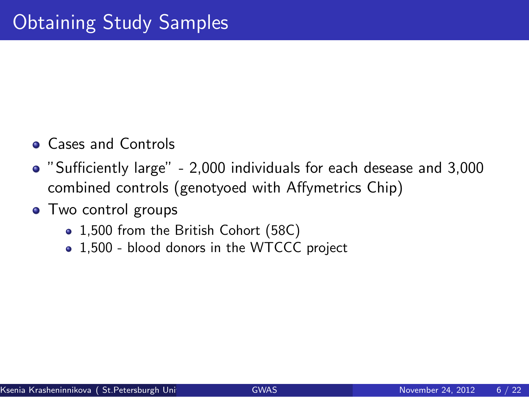- **Cases and Controls**
- "Sufficiently large" 2,000 individuals for each desease and 3,000 combined controls (genotyoed with Affymetrics Chip)
- Two control groups
	- 1,500 from the British Cohort (58C)
	- 1,500 blood donors in the WTCCC project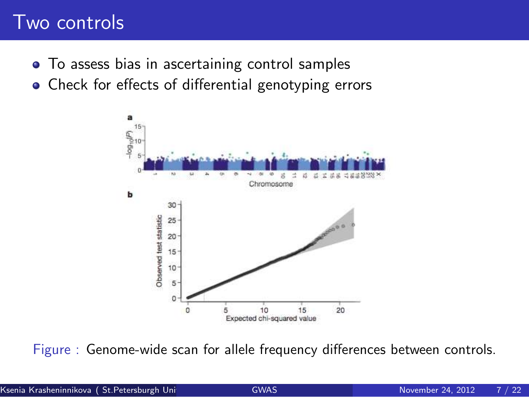### Two controls

- To assess bias in ascertaining control samples
- Check for effects of differential genotyping errors



Figure : Genome-wide scan for allele frequency differences between controls.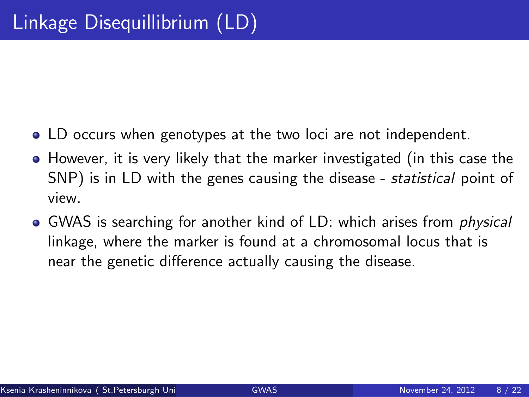- LD occurs when genotypes at the two loci are not independent.
- However, it is very likely that the marker investigated (in this case the SNP) is in LD with the genes causing the disease - *statistical* point of view.
- GWAS is searching for another kind of LD: which arises from *physical* linkage, where the marker is found at a chromosomal locus that is near the genetic difference actually causing the disease.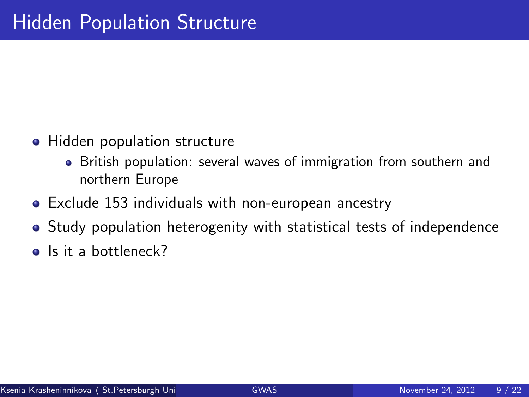- Hidden population structure
	- British population: several waves of immigration from southern and northern Europe
- Exclude 153 individuals with non-european ancestry
- Study population heterogenity with statistical tests of independence
- o Is it a bottleneck?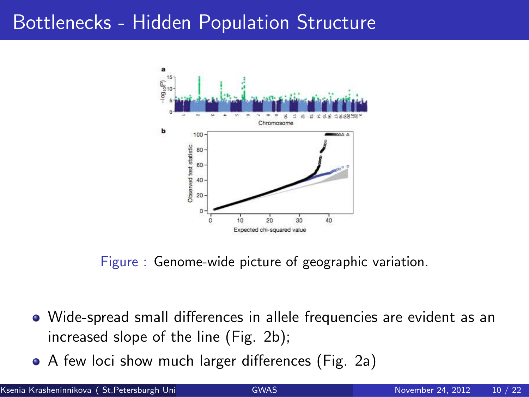#### Bottlenecks - Hidden Population Structure



Figure : Genome-wide picture of geographic variation.

- Wide-spread small differences in allele frequencies are evident as an increased slope of the line (Fig. 2b);
- A few loci show much larger differences (Fig. 2a)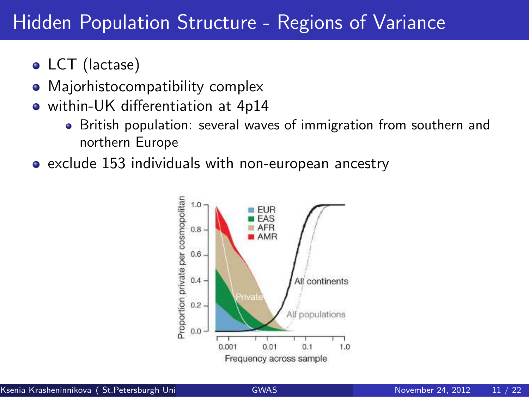## **Hidden Population Structure - Regions of Variance**

- LCT (lactase)
- Majorhistocompatibility complex
- within-UK differentiation at 4p14
	- British population: several waves of immigration from southern and northern Europe
- exclude 153 individuals with non-european ancestry

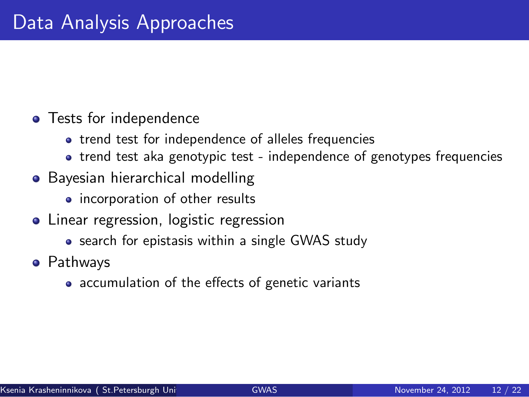#### **•** Tests for independence

- trend test for independence of alleles frequencies
- trend test aka genotypic test independence of genotypes frequencies
- Bayesian hierarchical modelling
	- incorporation of other results
- Linear regression, logistic regression
	- search for epistasis within a single GWAS study
- **•** Pathways
	- accumulation of the effects of genetic variants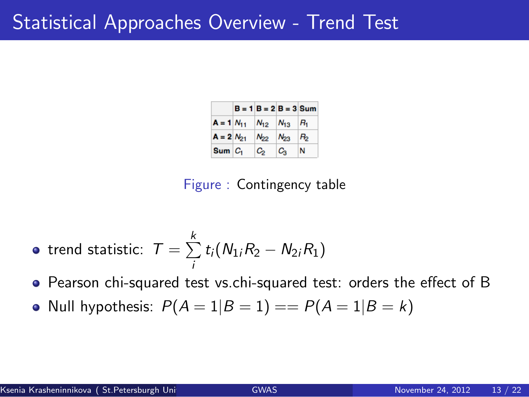#### Statistical Approaches Overview - Trend Test

|                | $B = 1$ $B = 2$ $B = 3$ Sum |          |         |
|----------------|-----------------------------|----------|---------|
| $A = 1 N_{11}$ | $N_{12}$ $N_{13}$ $R_1$     |          |         |
| $A = 2 N_{21}$ | $N_{22}$                    | $N_{23}$ | $R_{2}$ |
| $Sum C_1$      | C,                          | Ca       | N       |

Figure : Contingency table

• trend statistic: 
$$
T = \sum_{i}^{k} t_i (N_{1i}R_2 - N_{2i}R_1)
$$

Pearson chi-squared test vs.chi-squared test: orders the effect of B

• Null hypothesis:  $P(A = 1|B = 1) == P(A = 1|B = k)$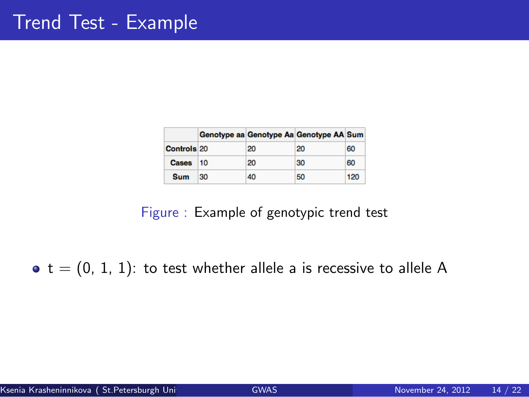|                    |    |    | Genotype aa Genotype Aa Genotype AA Sum |     |
|--------------------|----|----|-----------------------------------------|-----|
| <b>Controls 20</b> |    | 20 | 20                                      | 60  |
| Cases 10           |    | 20 | 30                                      | 60  |
| Sum                | 30 | 40 | 50                                      | 120 |

#### Figure : Example of genotypic trend test

 $\bullet$  t = (0, 1, 1): to test whether allele a is recessive to allele A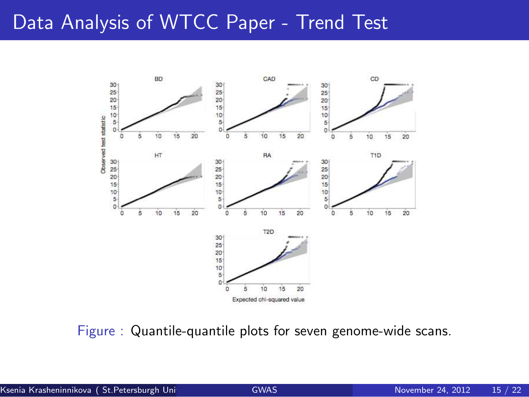## Data Analysis of WTCC Paper - Trend Test



Figure : Quantile-quantile plots for seven genome-wide scans.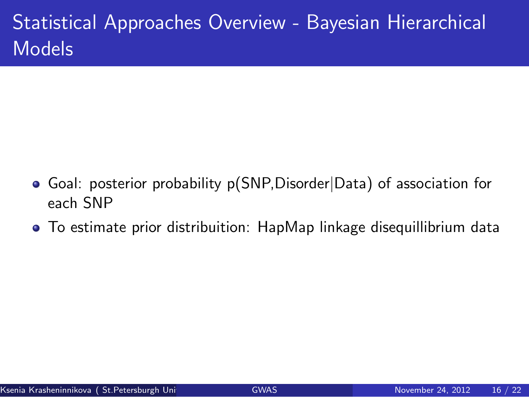# Statistical Approaches Overview - Bayesian Hierarchical Models

- Goal: posterior probability p(SNP,Disorder|Data) of association for each SNP
- To estimate prior distribuition: HapMap linkage disequillibrium data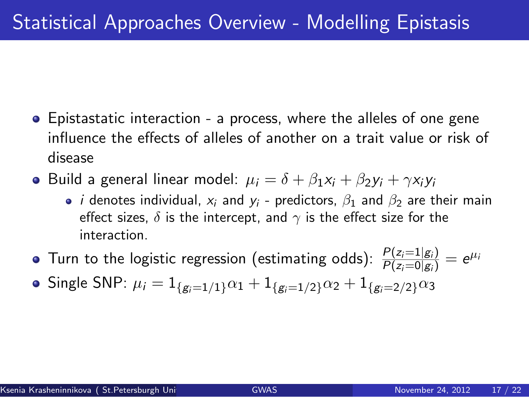- Epistastatic interaction a process, where the alleles of one gene influence the effects of alleles of another on a trait value or risk of disease
- **•** Build a general linear model:  $\mu_i = \delta + \beta_1 x_i + \beta_2 y_i + \gamma x_i y_i$ 
	- *i* denotes individual,  $x_i$  and  $y_i$  predictors,  $\beta_1$  and  $\beta_2$  are their main effect sizes.  $\delta$  is the intercept, and  $\gamma$  is the effect size for the interaction.
- Turn to the logistic regression (estimating odds):  $\frac{P(z_i=1|g_i)}{P(z_i=0|g_i)}=e^{\mu_i}$
- Single SNP:  $\mu_i = 1_{\{g_i=1/1\}}\alpha_1 + 1_{\{g_i=1/2\}}\alpha_2 + 1_{\{g_i=2/2\}}\alpha_3$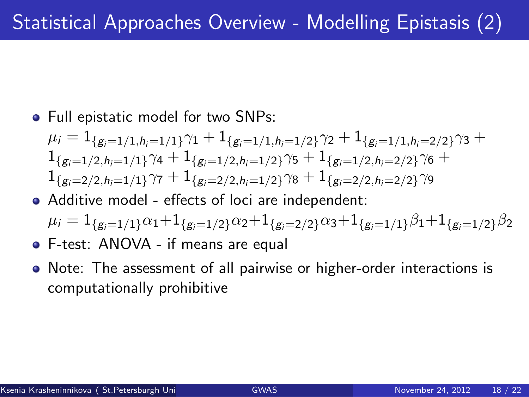• Full epistatic model for two SNPs:

$$
\mu_i = 1_{\{g_i=1/1, h_i=1/1\}} \gamma_1 + 1_{\{g_i=1/1, h_i=1/2\}} \gamma_2 + 1_{\{g_i=1/1, h_i=2/2\}} \gamma_3 + 1_{\{g_i=1/2, h_i=1/1\}} \gamma_4 + 1_{\{g_i=1/2, h_i=1/2\}} \gamma_5 + 1_{\{g_i=1/2, h_i=2/2\}} \gamma_6 + 1_{\{g_i=2/2, h_i=1/1\}} \gamma_7 + 1_{\{g_i=2/2, h_i=1/2\}} \gamma_8 + 1_{\{g_i=2/2, h_i=2/2\}} \gamma_9
$$

Additive model - effects of loci are independent:

$$
\mu_i = 1_{\{g_i=1/1\}} \alpha_1 + 1_{\{g_i=1/2\}} \alpha_2 + 1_{\{g_i=2/2\}} \alpha_3 + 1_{\{g_i=1/1\}} \beta_1 + 1_{\{g_i=1/2\}} \beta_2
$$

- F-test: ANOVA if means are equal
- Note: The assessment of all pairwise or higher-order interactions is computationally prohibitive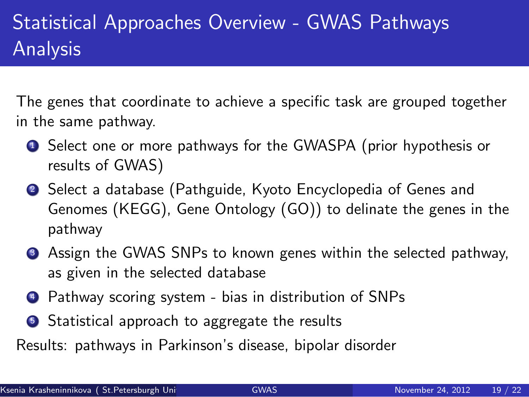# Statistical Approaches Overview - GWAS Pathways Analysis

The genes that coordinate to achieve a specific task are grouped together in the same pathway.

- **1** Select one or more pathways for the GWASPA (prior hypothesis or results of GWAS)
- <sup>2</sup> Select a database (Pathguide, Kyoto Encyclopedia of Genes and Genomes (KEGG), Gene Ontology (GO)) to delinate the genes in the pathway
- **3** Assign the GWAS SNPs to known genes within the selected pathway, as given in the selected database
- <sup>4</sup> Pathway scoring system bias in distribution of SNPs
- **5** Statistical approach to aggregate the results
- Results: pathways in Parkinson's disease, bipolar disorder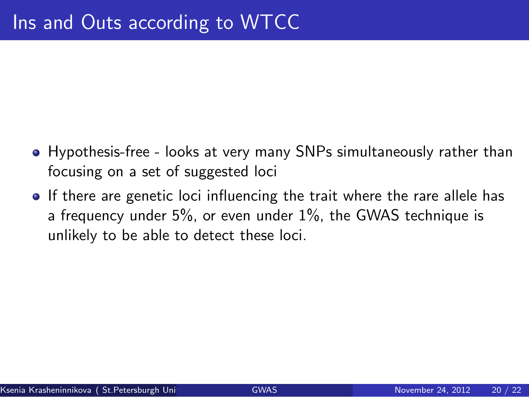- Hypothesis-free looks at very many SNPs simultaneously rather than focusing on a set of suggested loci
- If there are genetic loci influencing the trait where the rare allele has a frequency under 5%, or even under 1%, the GWAS technique is unlikely to be able to detect these loci.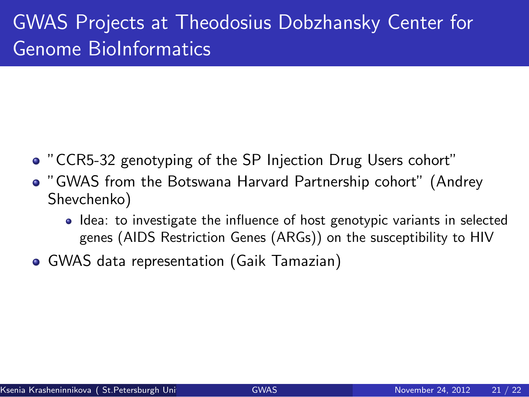# GWAS Projects at Theodosius Dobzhansky Center for Genome BioInformatics

- "CCR5-32 genotyping of the SP Injection Drug Users cohort"
- "GWAS from the Botswana Harvard Partnership cohort" (Andrey Shevchenko)
	- Idea: to investigate the influence of host genotypic variants in selected genes (AIDS Restriction Genes (ARGs)) on the susceptibility to HIV
- GWAS data representation (Gaik Tamazian)